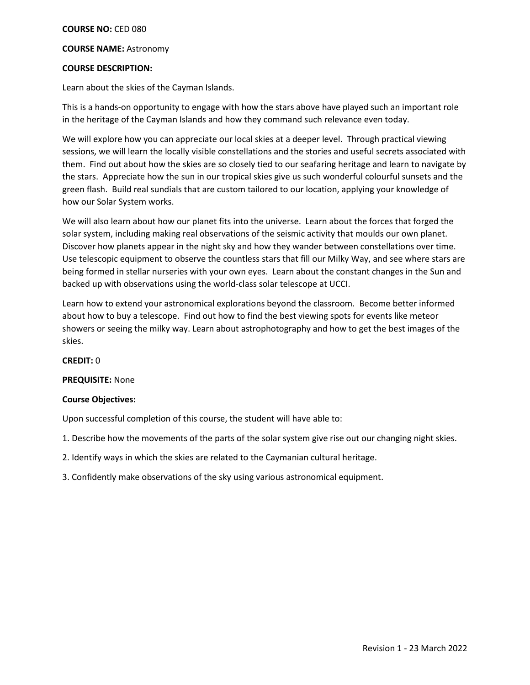# **COURSE NO:** CED 080

## **COURSE NAME:** Astronomy

# **COURSE DESCRIPTION:**

Learn about the skies of the Cayman Islands.

This is a hands-on opportunity to engage with how the stars above have played such an important role in the heritage of the Cayman Islands and how they command such relevance even today.

We will explore how you can appreciate our local skies at a deeper level. Through practical viewing sessions, we will learn the locally visible constellations and the stories and useful secrets associated with them. Find out about how the skies are so closely tied to our seafaring heritage and learn to navigate by the stars. Appreciate how the sun in our tropical skies give us such wonderful colourful sunsets and the green flash. Build real sundials that are custom tailored to our location, applying your knowledge of how our Solar System works.

We will also learn about how our planet fits into the universe. Learn about the forces that forged the solar system, including making real observations of the seismic activity that moulds our own planet. Discover how planets appear in the night sky and how they wander between constellations over time. Use telescopic equipment to observe the countless stars that fill our Milky Way, and see where stars are being formed in stellar nurseries with your own eyes. Learn about the constant changes in the Sun and backed up with observations using the world-class solar telescope at UCCI.

Learn how to extend your astronomical explorations beyond the classroom. Become better informed about how to buy a telescope. Find out how to find the best viewing spots for events like meteor showers or seeing the milky way. Learn about astrophotography and how to get the best images of the skies.

### **CREDIT:** 0

# **PREQUISITE:** None

### **Course Objectives:**

Upon successful completion of this course, the student will have able to:

1. Describe how the movements of the parts of the solar system give rise out our changing night skies.

- 2. Identify ways in which the skies are related to the Caymanian cultural heritage.
- 3. Confidently make observations of the sky using various astronomical equipment.